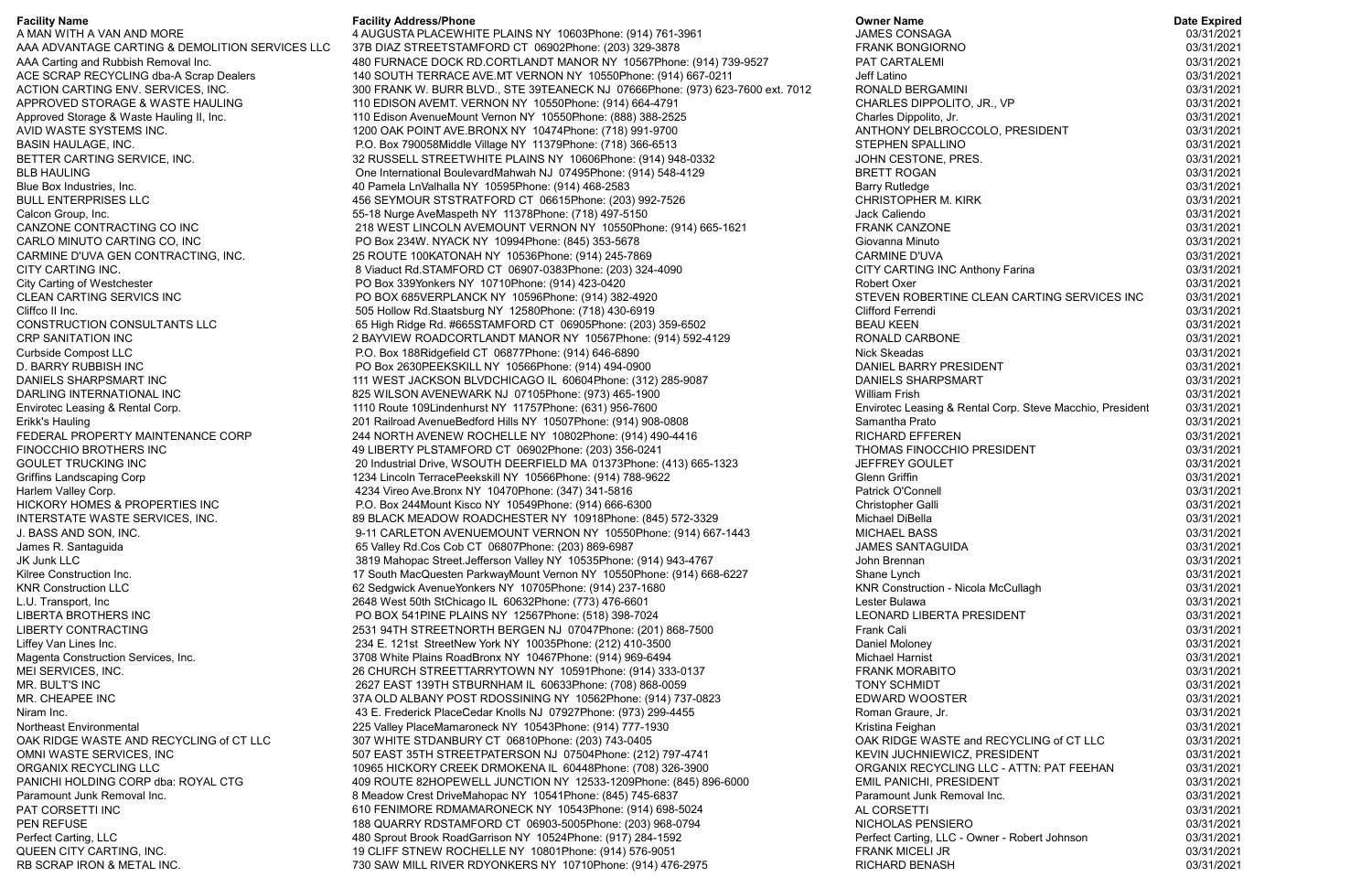## **Facility Name**

A MAN WITH A VAN AND MORE AAA ADVANTAGE CARTING & DEMOLITION SERVICES LLC AAA Carting and Rubbish Removal Inc. ACE SCRAP RECYCLING dba-A Scrap Dealers ACTION CARTING ENV. SERVICES, INC. APPROVED STORAGE & WASTE HAULING Approved Storage & Waste Hauling II, Inc. AVID WASTE SYSTEMS INC. BASIN HAULAGE, INC. BETTER CARTING SERVICE, INC. BLB HAULING Blue Box Industries, Inc. BULL ENTERPRISES LLC Calcon Group, Inc. CANZONE CONTRACTING CO INC CARLO MINUTO CARTING CO, INC CARMINE D'UVA GEN CONTRACTING, INC. CITY CARTING INC. City Carting of Westchester CLEAN CARTING SERVICS INC Cliffco II Inc. CONSTRUCTION CONSULTANTS LLC CRP SANITATION INC Curbside Compost LLC D. BARRY RUBBISH INC DANIELS SHARPSMART INC DARLING INTERNATIONAL INC Envirotec Leasing & Rental Corp. Erikk's Hauling FEDERAL PROPERTY MAINTENANCE CORP FINOCCHIO BROTHERS INC GOULET TRUCKING INC Griffins Landscaping Corp Harlem Valley Corp. HICKORY HOMES & PROPERTIES INC INTERSTATE WASTE SERVICES, INC. J. BASS AND SON, INC. James R. Santaguida JK Junk LLC Kilree Construction Inc. KNR Construction LLC L.U. Transport, Inc LIBERTA BROTHERS INC LIBERTY CONTRACTING Liffey Van Lines Inc. Magenta Construction Services, Inc. MEI SERVICES, INC. MR. BULT'S INC MR. CHEAPEE INC Niram Inc. Northeast Environmental OAK RIDGE WASTE AND RECYCLING of CT LLC OMNI WASTE SERVICES, INC ORGANIX RECYCLING LLC PANICHI HOLDING CORP dba: ROYAL CTG Paramount Junk Removal Inc. PAT CORSETTI INC PEN REFUSE Perfect Carting, LLC QUEEN CITY CARTING, INC. RB SCRAP IRON & METAL INC.

## **Facility Address/Phone**

 

 4 AUGUSTA PLACEWHITE PLAINS NY 10603
Phone: (914) 761-3961 

 37B DIAZ STREETSTAMFORD CT 06902
Phone: (203) 329-3878 

 480 FURNACE DOCK RD.CORTLANDT MANOR NY 10567
Phone: (914) 739-9527 

 140 SOUTH TERRACE AVE.MT VERNON NY 10550
Phone: (914) 667-0211 300 FRANK W. BURR BLVD., STE 39TEANECK NJ 07666Phone: (973) 623-7600 ext. 7012 

 110 EDISON AVEMT. VERNON NY 10550
Phone: (914) 664-4791 
 110 Edison Avenue
Mount Vernon NY 10550
Phone: (888) 388-2525 

 1200 OAK POINT AVE.BRONX NY 10474
Phone: (718) 991-9700 

 P.O. Box 790058
Middle Village NY 11379
Phone: (718) 366-6513 

 32 RUSSELL STREETWHITE PLAINS NY 10606
Phone: (914) 948-0332 

 One International Boulevard
Mahwah NJ 07495
Phone: (914) 548-4129 

 40 Pamela Ln
Valhalla NY 10595
Phone: (914) 468-2583 

 456 SEYMOUR STSTRATFORD CT 06615
Phone: (203) 992-7526 
 55-18 Nurge Ave
Maspeth NY 11378
Phone: (718) 497-5150 

 218 WEST LINCOLN AVEMOUNT VERNON NY 10550
Phone: (914) 665-1621 

 PO Box 234
W. NYACK NY 10994
Phone: (845) 353-5678 

 25 ROUTE 100
KATONAH NY 10536
Phone: (914) 245-7869 

 8 Viaduct Rd.STAMFORD CT 06907-0383
Phone: (203) 324-4090 

 PO Box 339
Yonkers NY 10710
Phone: (914) 423-0420 

 PO BOX 685
VERPLANCK NY 10596
Phone: (914) 382-4920 

 505 Hollow Rd.Staatsburg NY 12580
Phone: (718) 430-6919 

 65 High Ridge Rd. #665
STAMFORD CT 06905
Phone: (203) 359-6502 

 2 BAYVIEW ROADCORTLANDT MANOR NY 10567
Phone: (914) 592-4129 

 P.O. Box 188
Ridgefield CT 06877
Phone: (914) 646-6890 

 PO Box 2630
PEEKSKILL NY 10566
Phone: (914) 494-0900 

 111 WEST JACKSON BLVDCHICAGO IL 60604
Phone: (312) 285-9087 

 825 WILSON AVENEWARK NJ 07105
Phone: (973) 465-1900 

 1110 Route 109
Lindenhurst NY 11757
Phone: (631) 956-7600 
 201 Railroad Avenue
Bedford Hills NY 10507
Phone: (914) 908-0808 

 244 NORTH AVENEW ROCHELLE NY 10802
Phone: (914) 490-4416 

 49 LIBERTY PL
STAMFORD CT 06902
Phone: (203) 356-0241 

 20 Industrial Drive, WSOUTH DEERFIELD MA 01373
Phone: (413) 665-1323 
 1234 Lincoln Terrace
Peekskill NY 10566
Phone: (914) 788-9622 

 4234 Vireo Ave.Bronx NY 10470
Phone: (347) 341-5816 

 P.O. Box 244
Mount Kisco NY 10549
Phone: (914) 666-6300 

 89 BLACK MEADOW ROADCHESTER NY 10918
Phone: (845) 572-3329 

 9-11 CARLETON AVENUEMOUNT VERNON NY 10550
Phone: (914) 667-1443 

 65 Valley Rd.Cos Cob CT 06807
Phone: (203) 869-6987 

 3819 Mahopac Street.Jefferson Valley NY 10535
Phone: (914) 943-4767 
 17 South MacQuesten ParkwayMount Vernon NY 10550
Phone: (914) 668-6227 

 62 Sedgwick Avenue
Yonkers NY 10705
Phone: (914) 237-1680 

 2648 West 50th StChicago IL 60632
Phone: (773) 476-6601 PO BOX 541 BINE PLAINS NY 12567 Bhone: (518) 398-7024 

 2531 94TH STREETNORTH BERGEN NJ 07047
Phone: (201) 868-7500 

 234 E. 121st StreetNew York NY 10035
Phone: (212) 410-3500 

 3708 White Plains Road
Bronx NY 10467
Phone: (914) 969-6494 

 26 CHURCH STREETTARRYTOWN NY 10591
Phone: (914) 333-0137 

 2627 EAST 139TH STBURNHAM IL 60633
Phone: (708) 868-0059 

 37A OLD ALBANY POST RDOSSINING NY 10562
Phone: (914) 737-0823 

 43 E. Frederick Place
Cedar Knolls NJ 07927
Phone: (973) 299-4455 

 225 Valley Place
Mamaroneck NY 10543
Phone: (914) 777-1930 

 307 WHITE STDANBURY CT 06810
Phone: (203) 743-0405 

 507 EAST 35TH STREETPATERSON NJ 07504
Phone: (212) 797-4741 

 10965 HICKORY CREEK DRMOKENA IL 60448
Phone: (708) 326-3900 

 409 ROUTE 82
HOPEWELL JUNCTION NY 12533-1209
Phone: (845) 896-6000 

 8 Meadow Crest Drive
Mahopac NY 10541
Phone: (845) 745-6837 

 610 FENIMORE RDMAMARONECK NY 10543
Phone: (914) 698-5024 

 188 QUARRY RDSTAMFORD CT 06903-5005
Phone: (203) 968-0794 

 480 Sprout Brook Road
Garrison NY 10524
Phone: (917) 284-1592 

 19 CLIFF STNEW ROCHELLE NY 10801
Phone: (914) 576-9051 

 730 SAW MILL RIVER RDYONKERS NY 10710
Phone: (914) 476-2975

## **Owner Name**

| <b>Owner Name</b>                                                       | <b>Date Expired</b>      |
|-------------------------------------------------------------------------|--------------------------|
| <b>JAMES CONSAGA</b>                                                    | 03/31/2021               |
| <b>FRANK BONGIORNO</b>                                                  | 03/31/2021               |
| PAT CARTALEMI                                                           | 03/31/2021               |
| Jeff Latino                                                             | 03/31/2021               |
| RONALD BERGAMINI                                                        | 03/31/2021               |
| CHARLES DIPPOLITO, JR., VP                                              | 03/31/2021               |
| Charles Dippolito, Jr.                                                  | 03/31/2021               |
| ANTHONY DELBROCCOLO, PRESIDENT                                          | 03/31/2021               |
| <b>STEPHEN SPALLINO</b>                                                 | 03/31/2021               |
| JOHN CESTONE, PRES.                                                     | 03/31/2021               |
| <b>BRETT ROGAN</b>                                                      | 03/31/2021               |
| <b>Barry Rutledge</b>                                                   | 03/31/2021               |
| <b>CHRISTOPHER M. KIRK</b>                                              | 03/31/2021               |
| Jack Caliendo                                                           | 03/31/2021               |
| <b>FRANK CANZONE</b><br>Giovanna Minuto                                 | 03/31/2021               |
|                                                                         | 03/31/2021               |
| <b>CARMINE D'UVA</b><br>CITY CARTING INC Anthony Farina                 | 03/31/2021<br>03/31/2021 |
| <b>Robert Oxer</b>                                                      | 03/31/2021               |
| STEVEN ROBERTINE CLEAN CARTING SERVICES INC                             | 03/31/2021               |
| Clifford Ferrendi                                                       | 03/31/2021               |
| <b>BEAU KEEN</b>                                                        | 03/31/2021               |
| <b>RONALD CARBONE</b>                                                   | 03/31/2021               |
| <b>Nick Skeadas</b>                                                     | 03/31/2021               |
| DANIEL BARRY PRESIDENT                                                  | 03/31/2021               |
| <b>DANIELS SHARPSMART</b>                                               | 03/31/2021               |
| <b>William Frish</b>                                                    | 03/31/2021               |
| Envirotec Leasing & Rental Corp. Steve Macchio, President               | 03/31/2021               |
| Samantha Prato                                                          | 03/31/2021               |
| <b>RICHARD EFFEREN</b>                                                  | 03/31/2021               |
| THOMAS FINOCCHIO PRESIDENT                                              | 03/31/2021               |
| <b>JEFFREY GOULET</b>                                                   | 03/31/2021               |
| <b>Glenn Griffin</b>                                                    | 03/31/2021               |
| <b>Patrick O'Connell</b>                                                | 03/31/2021               |
| Christopher Galli                                                       | 03/31/2021               |
| Michael DiBella                                                         | 03/31/2021               |
| <b>MICHAEL BASS</b>                                                     | 03/31/2021               |
| <b>JAMES SANTAGUIDA</b>                                                 | 03/31/2021               |
| John Brennan                                                            | 03/31/2021<br>03/31/2021 |
| Shane Lynch<br><b>KNR Construction - Nicola McCullagh</b>               | 03/31/2021               |
| Lester Bulawa                                                           | 03/31/2021               |
| <b>LEONARD LIBERTA PRESIDENT</b>                                        | 03/31/2021               |
| <b>Frank Cali</b>                                                       | 03/31/2021               |
| Daniel Moloney                                                          | 03/31/2021               |
| <b>Michael Harnist</b>                                                  | 03/31/2021               |
| <b>FRANK MORABITO</b>                                                   | 03/31/2021               |
| <b>TONY SCHMIDT</b>                                                     | 03/31/2021               |
| <b>EDWARD WOOSTER</b>                                                   | 03/31/2021               |
| Roman Graure, Jr.                                                       | 03/31/2021               |
| Kristina Feighan                                                        | 03/31/2021               |
| OAK RIDGE WASTE and RECYCLING of CT LLC                                 | 03/31/2021               |
| KEVIN JUCHNIEWICZ, PRESIDENT                                            | 03/31/2021               |
| ORGANIX RECYCLING LLC - ATTN: PAT FEEHAN                                | 03/31/2021               |
| EMIL PANICHI, PRESIDENT                                                 | 03/31/2021               |
| Paramount Junk Removal Inc.                                             | 03/31/2021               |
| AL CORSETTI                                                             | 03/31/2021               |
| NICHOLAS PENSIERO                                                       | 03/31/2021               |
| Perfect Carting, LLC - Owner - Robert Johnson<br><b>FRANK MICELI JR</b> | 03/31/2021<br>03/31/2021 |
| <b>RICHARD BENASH</b>                                                   | 03/31/2021               |